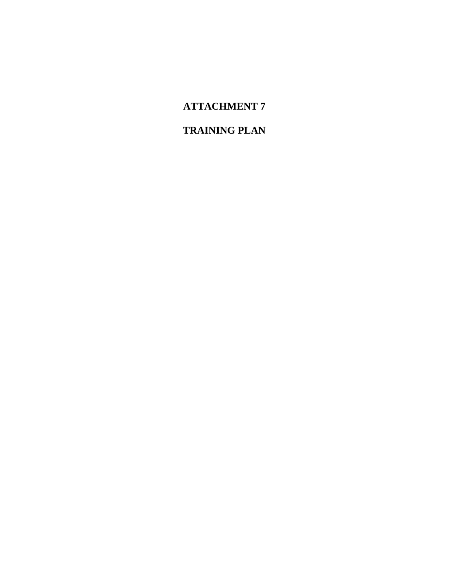# **ATTACHMENT 7**

# **TRAINING PLAN**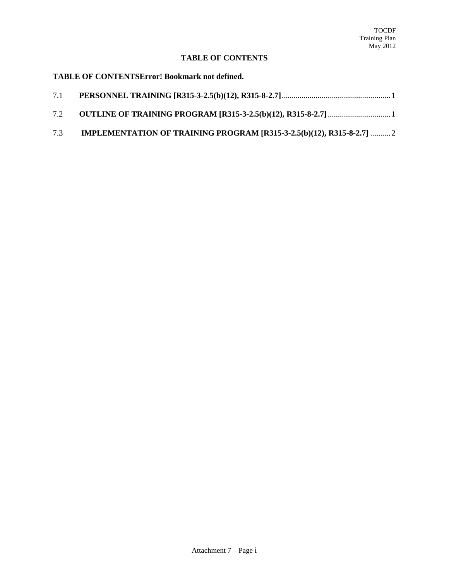## **TABLE OF CONTENTS**

#### **TABLE OF CONTENTSError! Bookmark not defined.**

| 7.1 |  |
|-----|--|
| 7.2 |  |

7.3 **IMPLEMENTATION OF TRAINING PROGRAM [R315-3-2.5(b)(12), R315-8-2.7]** .......... 2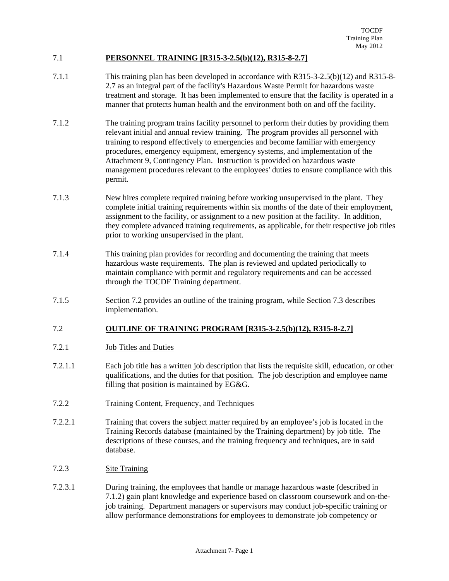### 7.1 **PERSONNEL TRAINING [R315-3-2.5(b)(12), R315-8-2.7]**

- 7.1.1 This training plan has been developed in accordance with R315-3-2.5(b)(12) and R315-8- 2.7 as an integral part of the facility's Hazardous Waste Permit for hazardous waste treatment and storage. It has been implemented to ensure that the facility is operated in a manner that protects human health and the environment both on and off the facility.
- 7.1.2 The training program trains facility personnel to perform their duties by providing them relevant initial and annual review training. The program provides all personnel with training to respond effectively to emergencies and become familiar with emergency procedures, emergency equipment, emergency systems, and implementation of the Attachment 9, Contingency Plan. Instruction is provided on hazardous waste management procedures relevant to the employees' duties to ensure compliance with this permit.
- 7.1.3 New hires complete required training before working unsupervised in the plant. They complete initial training requirements within six months of the date of their employment, assignment to the facility, or assignment to a new position at the facility. In addition, they complete advanced training requirements, as applicable, for their respective job titles prior to working unsupervised in the plant.
- 7.1.4 This training plan provides for recording and documenting the training that meets hazardous waste requirements. The plan is reviewed and updated periodically to maintain compliance with permit and regulatory requirements and can be accessed through the TOCDF Training department.
- 7.1.5 Section 7.2 provides an outline of the training program, while Section 7.3 describes implementation.

### 7.2 **OUTLINE OF TRAINING PROGRAM [R315-3-2.5(b)(12), R315-8-2.7]**

- 7.2.1 Job Titles and Duties
- 7.2.1.1 Each job title has a written job description that lists the requisite skill, education, or other qualifications, and the duties for that position. The job description and employee name filling that position is maintained by EG&G.
- 7.2.2 Training Content, Frequency, and Techniques
- 7.2.2.1 Training that covers the subject matter required by an employee's job is located in the Training Records database (maintained by the Training department) by job title. The descriptions of these courses, and the training frequency and techniques, are in said database.
- 7.2.3 Site Training
- 7.2.3.1 During training, the employees that handle or manage hazardous waste (described in 7.1.2) gain plant knowledge and experience based on classroom coursework and on-thejob training. Department managers or supervisors may conduct job-specific training or allow performance demonstrations for employees to demonstrate job competency or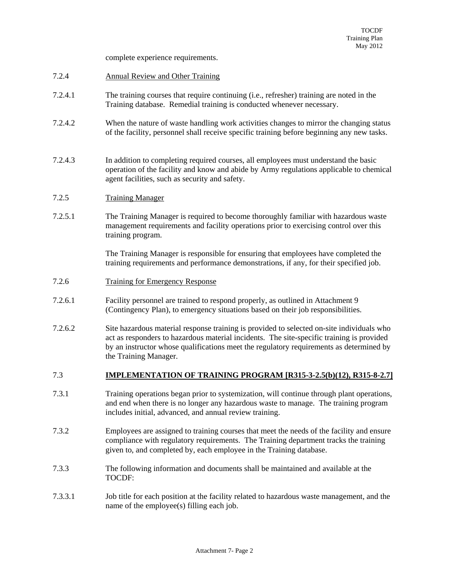complete experience requirements.

- 7.2.4 Annual Review and Other Training
- 7.2.4.1 The training courses that require continuing (i.e., refresher) training are noted in the Training database. Remedial training is conducted whenever necessary.
- 7.2.4.2 When the nature of waste handling work activities changes to mirror the changing status of the facility, personnel shall receive specific training before beginning any new tasks.
- 7.2.4.3 In addition to completing required courses, all employees must understand the basic operation of the facility and know and abide by Army regulations applicable to chemical agent facilities, such as security and safety.

#### 7.2.5 Training Manager

7.2.5.1 The Training Manager is required to become thoroughly familiar with hazardous waste management requirements and facility operations prior to exercising control over this training program.

> The Training Manager is responsible for ensuring that employees have completed the training requirements and performance demonstrations, if any, for their specified job.

- 7.2.6 Training for Emergency Response
- 7.2.6.1 Facility personnel are trained to respond properly, as outlined in Attachment 9 (Contingency Plan), to emergency situations based on their job responsibilities.
- 7.2.6.2 Site hazardous material response training is provided to selected on-site individuals who act as responders to hazardous material incidents. The site-specific training is provided by an instructor whose qualifications meet the regulatory requirements as determined by the Training Manager.

#### 7.3 **IMPLEMENTATION OF TRAINING PROGRAM [R315-3-2.5(b)(12), R315-8-2.7]**

- 7.3.1 Training operations began prior to systemization, will continue through plant operations, and end when there is no longer any hazardous waste to manage. The training program includes initial, advanced, and annual review training.
- 7.3.2 Employees are assigned to training courses that meet the needs of the facility and ensure compliance with regulatory requirements. The Training department tracks the training given to, and completed by, each employee in the Training database.
- 7.3.3 The following information and documents shall be maintained and available at the TOCDF:
- 7.3.3.1 Job title for each position at the facility related to hazardous waste management, and the name of the employee(s) filling each job.